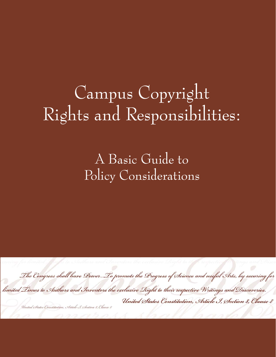# Campus Copyright Rights and Responsibilities:

A Basic Guide to Policy Considerations



United States Constitution, Article I, Section 8, Clause 8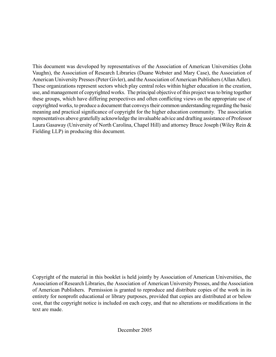This document was developed by representatives of the Association of American Universities (John Vaughn), the Association of Research Libraries (Duane Webster and Mary Case), the Association of American University Presses (Peter Givler), and the Association of American Publishers (Allan Adler). These organizations represent sectors which play central roles within higher education in the creation, use, and management of copyrighted works. The principal objective of this project was to bring together these groups, which have differing perspectives and often conflicting views on the appropriate use of copyrighted works, to produce a document that conveys their common understanding regarding the basic meaning and practical significance of copyright for the higher education community. The association representatives above gratefully acknowledge the invaluable advice and drafting assistance of Professor Laura Gasaway (University of North Carolina, Chapel Hill) and attorney Bruce Joseph (Wiley Rein & Fielding LLP) in producing this document.

Copyright of the material in this booklet is held jointly by Association of American Universities, the Association of Research Libraries, the Association of American University Presses, and the Association of American Publishers. Permission is granted to reproduce and distribute copies of the work in its entirety for nonprofit educational or library purposes, provided that copies are distributed at or below cost, that the copyright notice is included on each copy, and that no alterations or modifications in the text are made.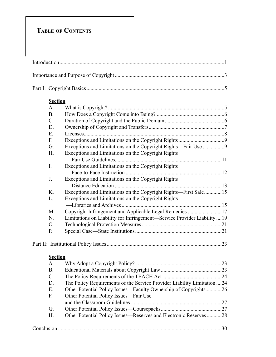# **TABLE OF CONTENTS**

| <b>Section</b><br>A <sub>1</sub><br><b>B.</b><br>$\mathcal{C}$ .<br>D.<br>E.<br>F.<br>G.<br>Exceptions and Limitations on the Copyright Rights<br>H.<br>$\mathbf{I}$ .<br>Exceptions and Limitations on the Copyright Rights<br>Exceptions and Limitations on the Copyright Rights<br>J.<br>Exceptions and Limitations on the Copyright Rights-First Sale15<br>K.<br>L.<br>Exceptions and Limitations on the Copyright Rights<br>Copyright Infringement and Applicable Legal Remedies 17<br>M.<br>Limitations on Liability for Infringement—Service Provider Liability  19<br>N.<br>O.<br>P.<br><b>Section</b><br>A.<br><b>B.</b><br>$C$ .<br>The Policy Requirements of the Service Provider Liability Limitation 24<br>D.<br>Other Potential Policy Issues—Faculty Ownership of Copyrights26<br>E.<br>F.<br>Other Potential Policy Issues-Fair Use<br>G.<br>Other Potential Policy Issues—Reserves and Electronic Reserves 28<br>H. |  |  |  |
|---------------------------------------------------------------------------------------------------------------------------------------------------------------------------------------------------------------------------------------------------------------------------------------------------------------------------------------------------------------------------------------------------------------------------------------------------------------------------------------------------------------------------------------------------------------------------------------------------------------------------------------------------------------------------------------------------------------------------------------------------------------------------------------------------------------------------------------------------------------------------------------------------------------------------------------|--|--|--|
|                                                                                                                                                                                                                                                                                                                                                                                                                                                                                                                                                                                                                                                                                                                                                                                                                                                                                                                                       |  |  |  |
|                                                                                                                                                                                                                                                                                                                                                                                                                                                                                                                                                                                                                                                                                                                                                                                                                                                                                                                                       |  |  |  |
|                                                                                                                                                                                                                                                                                                                                                                                                                                                                                                                                                                                                                                                                                                                                                                                                                                                                                                                                       |  |  |  |
|                                                                                                                                                                                                                                                                                                                                                                                                                                                                                                                                                                                                                                                                                                                                                                                                                                                                                                                                       |  |  |  |
|                                                                                                                                                                                                                                                                                                                                                                                                                                                                                                                                                                                                                                                                                                                                                                                                                                                                                                                                       |  |  |  |
|                                                                                                                                                                                                                                                                                                                                                                                                                                                                                                                                                                                                                                                                                                                                                                                                                                                                                                                                       |  |  |  |
|                                                                                                                                                                                                                                                                                                                                                                                                                                                                                                                                                                                                                                                                                                                                                                                                                                                                                                                                       |  |  |  |
|                                                                                                                                                                                                                                                                                                                                                                                                                                                                                                                                                                                                                                                                                                                                                                                                                                                                                                                                       |  |  |  |
|                                                                                                                                                                                                                                                                                                                                                                                                                                                                                                                                                                                                                                                                                                                                                                                                                                                                                                                                       |  |  |  |
|                                                                                                                                                                                                                                                                                                                                                                                                                                                                                                                                                                                                                                                                                                                                                                                                                                                                                                                                       |  |  |  |
|                                                                                                                                                                                                                                                                                                                                                                                                                                                                                                                                                                                                                                                                                                                                                                                                                                                                                                                                       |  |  |  |
|                                                                                                                                                                                                                                                                                                                                                                                                                                                                                                                                                                                                                                                                                                                                                                                                                                                                                                                                       |  |  |  |
|                                                                                                                                                                                                                                                                                                                                                                                                                                                                                                                                                                                                                                                                                                                                                                                                                                                                                                                                       |  |  |  |
|                                                                                                                                                                                                                                                                                                                                                                                                                                                                                                                                                                                                                                                                                                                                                                                                                                                                                                                                       |  |  |  |
|                                                                                                                                                                                                                                                                                                                                                                                                                                                                                                                                                                                                                                                                                                                                                                                                                                                                                                                                       |  |  |  |
|                                                                                                                                                                                                                                                                                                                                                                                                                                                                                                                                                                                                                                                                                                                                                                                                                                                                                                                                       |  |  |  |
|                                                                                                                                                                                                                                                                                                                                                                                                                                                                                                                                                                                                                                                                                                                                                                                                                                                                                                                                       |  |  |  |
|                                                                                                                                                                                                                                                                                                                                                                                                                                                                                                                                                                                                                                                                                                                                                                                                                                                                                                                                       |  |  |  |
|                                                                                                                                                                                                                                                                                                                                                                                                                                                                                                                                                                                                                                                                                                                                                                                                                                                                                                                                       |  |  |  |
|                                                                                                                                                                                                                                                                                                                                                                                                                                                                                                                                                                                                                                                                                                                                                                                                                                                                                                                                       |  |  |  |
|                                                                                                                                                                                                                                                                                                                                                                                                                                                                                                                                                                                                                                                                                                                                                                                                                                                                                                                                       |  |  |  |
|                                                                                                                                                                                                                                                                                                                                                                                                                                                                                                                                                                                                                                                                                                                                                                                                                                                                                                                                       |  |  |  |
|                                                                                                                                                                                                                                                                                                                                                                                                                                                                                                                                                                                                                                                                                                                                                                                                                                                                                                                                       |  |  |  |
|                                                                                                                                                                                                                                                                                                                                                                                                                                                                                                                                                                                                                                                                                                                                                                                                                                                                                                                                       |  |  |  |
|                                                                                                                                                                                                                                                                                                                                                                                                                                                                                                                                                                                                                                                                                                                                                                                                                                                                                                                                       |  |  |  |
|                                                                                                                                                                                                                                                                                                                                                                                                                                                                                                                                                                                                                                                                                                                                                                                                                                                                                                                                       |  |  |  |
|                                                                                                                                                                                                                                                                                                                                                                                                                                                                                                                                                                                                                                                                                                                                                                                                                                                                                                                                       |  |  |  |
|                                                                                                                                                                                                                                                                                                                                                                                                                                                                                                                                                                                                                                                                                                                                                                                                                                                                                                                                       |  |  |  |
|                                                                                                                                                                                                                                                                                                                                                                                                                                                                                                                                                                                                                                                                                                                                                                                                                                                                                                                                       |  |  |  |
|                                                                                                                                                                                                                                                                                                                                                                                                                                                                                                                                                                                                                                                                                                                                                                                                                                                                                                                                       |  |  |  |
|                                                                                                                                                                                                                                                                                                                                                                                                                                                                                                                                                                                                                                                                                                                                                                                                                                                                                                                                       |  |  |  |
|                                                                                                                                                                                                                                                                                                                                                                                                                                                                                                                                                                                                                                                                                                                                                                                                                                                                                                                                       |  |  |  |
|                                                                                                                                                                                                                                                                                                                                                                                                                                                                                                                                                                                                                                                                                                                                                                                                                                                                                                                                       |  |  |  |
|                                                                                                                                                                                                                                                                                                                                                                                                                                                                                                                                                                                                                                                                                                                                                                                                                                                                                                                                       |  |  |  |
|                                                                                                                                                                                                                                                                                                                                                                                                                                                                                                                                                                                                                                                                                                                                                                                                                                                                                                                                       |  |  |  |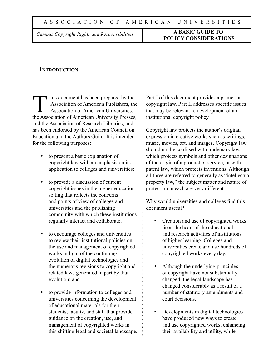## *Campus Copyright Rights and Responsibilities* **A BASIC GUIDE TO POLICY CONSIDERATIONS**

## **INTRODUCTION**

his document has been prepared by the Association of American Publishers, the Association of American Universities, the Association of American University Presses, and the Association of Research Libraries; and has been endorsed by the American Council on Education and the Authors Guild. It is intended for the following purposes:

- to present a basic explanation of copyright law with an emphasis on its application to colleges and universities;
- to provide a discussion of current copyright issues in the higher education setting that reflects the concerns and points of view of colleges and universities and the publishing community with which these institutions regularly interact and collaborate;
- to encourage colleges and universities to review their institutional policies on the use and management of copyrighted works in light of the continuing evolution of digital technologies and the numerous revisions to copyright and related laws generated in part by that evolution; and
- to provide information to colleges and universities concerning the development of educational materials for their students, faculty, and staff that provide guidance on the creation, use, and management of copyrighted works in this shifting legal and societal landscape.

Part I of this document provides a primer on copyright law. Part II addresses specific issues that may be relevant to development of an institutional copyright policy.

Copyright law protects the author's original expression in creative works such as writings, music, movies, art, and images. Copyright law should not be confused with trademark law, which protects symbols and other designations of the origin of a product or service, or with patent law, which protects inventions. Although all three are referred to generally as "intellectual property law," the subject matter and nature of protection in each are very different.

Why would universities and colleges find this document useful?

- Creation and use of copyrighted works lie at the heart of the educational and research activities of institutions of higher learning. Colleges and universities create and use hundreds of copyrighted works every day.
- Although the underlying principles of copyright have not substantially changed, the legal landscape has changed considerably as a result of a number of statutory amendments and court decisions.
- Developments in digital technologies have produced new ways to create and use copyrighted works, enhancing their availability and utility, while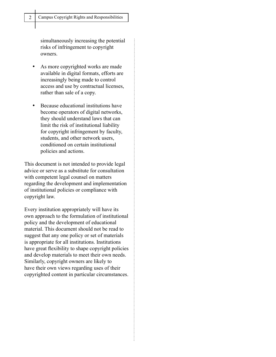simultaneously increasing the potential risks of infringement to copyright owners.

- As more copyrighted works are made available in digital formats, efforts are increasingly being made to control access and use by contractual licenses, rather than sale of a copy.
- Because educational institutions have become operators of digital networks, they should understand laws that can limit the risk of institutional liability for copyright infringement by faculty, students, and other network users, conditioned on certain institutional policies and actions.

This document is not intended to provide legal advice or serve as a substitute for consultation with competent legal counsel on matters regarding the development and implementation of institutional policies or compliance with copyright law.

Every institution appropriately will have its own approach to the formulation of institutional policy and the development of educational material. This document should not be read to suggest that any one policy or set of materials is appropriate for all institutions. Institutions have great flexibility to shape copyright policies and develop materials to meet their own needs. Similarly, copyright owners are likely to have their own views regarding uses of their copyrighted content in particular circumstances.

 $\vdots$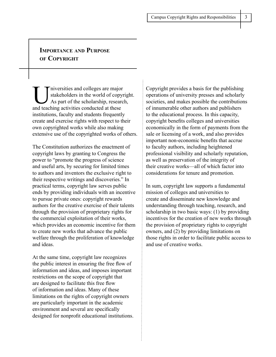## **IMPORTANCE AND PURPOSE OF COPYRIGHT**

Iniversities and colleges are major<br>stakeholders in the world of copyr<br>As part of the scholarship, researc stakeholders in the world of copyright. As part of the scholarship, research, and teaching activities conducted at these institutions, faculty and students frequently create and exercise rights with respect to their own copyrighted works while also making extensive use of the copyrighted works of others.

The Constitution authorizes the enactment of copyright laws by granting to Congress the power to "promote the progress of science and useful arts, by securing for limited times to authors and inventors the exclusive right to their respective writings and discoveries." In practical terms, copyright law serves public ends by providing individuals with an incentive to pursue private ones: copyright rewards authors for the creative exercise of their talents through the provision of proprietary rights for the commercial exploitation of their works, which provides an economic incentive for them to create new works that advance the public welfare through the proliferation of knowledge and ideas.

At the same time, copyright law recognizes the public interest in ensuring the free flow of information and ideas, and imposes important restrictions on the scope of copyright that are designed to facilitate this free flow of information and ideas. Many of these limitations on the rights of copyright owners are particularly important in the academic environment and several are specifically designed for nonprofit educational institutions.

 $\vdots$ 

Copyright provides a basis for the publishing operations of university presses and scholarly societies, and makes possible the contributions of innumerable other authors and publishers to the educational process. In this capacity, copyright benefits colleges and universities economically in the form of payments from the sale or licensing of a work, and also provides important non-economic benefits that accrue to faculty authors, including heightened professional visibility and scholarly reputation, as well as preservation of the integrity of their creative works—all of which factor into considerations for tenure and promotion.

In sum, copyright law supports a fundamental mission of colleges and universities to create and disseminate new knowledge and understanding through teaching, research, and scholarship in two basic ways: (1) by providing incentives for the creation of new works through the provision of proprietary rights to copyright owners, and (2) by providing limitations on those rights in order to facilitate public access to and use of creative works.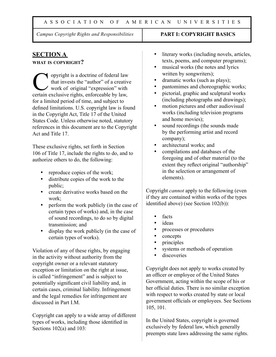#### A S S O C I A T I O N O F A M E R I C A N U N I V E R S I T I E S

*Campus Copyright Rights and Responsibilities* **PART I: COPYRIGHT BASICS**

## **SECTION A**

#### **WHAT IS COPYRIGHT?**

Solution of the state of federal law<br>that invests the "author" of a creative<br>work of original "expression" with that invests the "author" of a creative work of original "expression" with certain exclusive rights, enforceable by law, for a limited period of time, and subject to defined limitations. U.S. copyright law is found in the Copyright Act, Title 17 of the United States Code. Unless otherwise noted, statutory references in this document are to the Copyright Act and Title 17.

These exclusive rights, set forth in Section 106 of Title 17, include the rights to do, and to authorize others to do, the following:

- reproduce copies of the work;
- distribute copies of the work to the public;
- create derivative works based on the work;
- perform the work publicly (in the case of certain types of works) and, in the case of sound recordings, to do so by digital transmission; and
- display the work publicly (in the case of certain types of works).

Violation of any of these rights, by engaging in the activity without authority from the copyright owner or a relevant statutory exception or limitation on the right at issue, is called "infringement" and is subject to potentially significant civil liability and, in certain cases, criminal liability. Infringement and the legal remedies for infringement are discussed in Part I.M.

Copyright can apply to a wide array of different types of works, including those identified in Sections 102(a) and 103:

- literary works (including novels, articles, texts, poems, and computer programs);
- musical works (the notes and lyrics written by songwriters);
- dramatic works (such as plays);
- pantomimes and choreographic works;
- pictorial, graphic and sculptural works (including photographs and drawings);
- motion pictures and other audiovisual works (including television programs and home movies);
- sound recordings (the sounds made by the performing artist and record company);
- architectural works; and
- compilations and databases of the foregoing and of other material (to the extent they reflect original "authorship" in the selection or arrangement of elements).

Copyright *cannot* apply to the following (even if they are contained within works of the types identified above) (see Section 102(b)):

- facts
- *i*deas
- processes or procedures
- concepts
- principles
- systems or methods of operation
- discoveries

Copyright does not apply to works created by an officer or employee of the United States Government, acting within the scope of his or her official duties. There is no similar exception with respect to works created by state or local government officials or employees. See Sections 105, 101.

In the United States, copyright is governed exclusively by federal law, which generally preempts state laws addressing the same rights.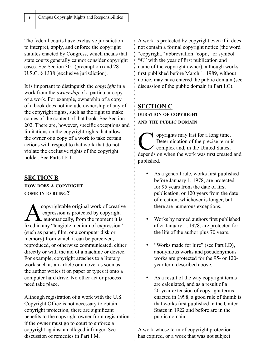The federal courts have exclusive jurisdiction to interpret, apply, and enforce the copyright statutes enacted by Congress, which means that state courts generally cannot consider copyright cases. See Section 301 (preemption) and 28 U.S.C. § 1338 (exclusive jurisdiction).

It is important to distinguish the *copyright* in a work from the *ownership* of a particular copy of a work. For example, ownership of a copy of a book does not include ownership of any of the copyright rights, such as the right to make copies of the content of that book. See Section 202. There are, however, specific exceptions and limitations on the copyright rights that allow the owner of a copy of a work to take certain actions with respect to that work that do not violate the exclusive rights of the copyright holder. See Parts I.F-L.

## **SECTION B**

#### **HOW DOES A COPYRIGHT COME INTO BEING?**

**A** copyrightable original work of creative<br>expression is protected by copyright<br>automatically, from the moment it is<br>fixed in any "tangible modium of automatical" expression is protected by copyright **A** automatically, from the moment it is fixed in any "tangible medium of expression" (such as paper, film, or a computer disk or memory) from which it can be perceived, reproduced, or otherwise communicated, either directly or with the aid of a machine or device. For example, copyright attaches to a literary work such as an article or a novel as soon as the author writes it on paper or types it onto a computer hard drive. No other act or process need take place.

Although registration of a work with the U.S. Copyright Office is not necessary to obtain copyright protection, there are significant benefits to the copyright owner from registration if the owner must go to court to enforce a copyright against an alleged infringer. See discussion of remedies in Part I.M.

A work is protected by copyright even if it does not contain a formal copyright notice (the word "copyright," abbreviation "copr.," or symbol "©" with the year of first publication and name of the copyright owner), although works first published before March 1, 1989, without notice, may have entered the public domain (see discussion of the public domain in Part I.C).

## **SECTION C DURATION OF COPYRIGHT AND THE PUBLIC DOMAIN**

O pyrights may last for a long time.<br>
Determination of the precise term is<br>
complex and, in the United States, Determination of the precise term is complex and, in the United States, depends on when the work was first created and published.

- As a general rule, works first published before January 1, 1978, are protected for 95 years from the date of first publication, or 120 years from the date of creation, whichever is longer, but there are numerous exceptions.
- Works by named authors first published after January 1, 1978, are protected for the life of the author plus 70 years.
- "Works made for hire" (see Part I.D), anonymous works and pseudonymous works are protected for the 95- or 120 year term described above.
- As a result of the way copyright terms are calculated, and as a result of a 20-year extension of copyright terms enacted in 1998, a good rule of thumb is that works first published in the United States in 1922 and before are in the public domain.

A work whose term of copyright protection has expired, or a work that was not subject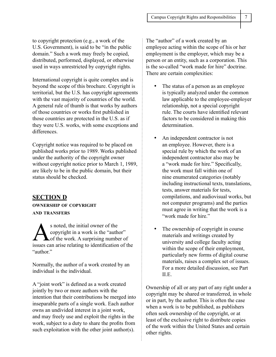to copyright protection (e.g., a work of the U.S. Government), is said to be "in the public domain." Such a work may freely be copied, distributed, performed, displayed, or otherwise used in ways unrestricted by copyright rights.

International copyright is quite complex and is beyond the scope of this brochure. Copyright is territorial, but the U.S. has copyright agreements with the vast majority of countries of the world. A general rule of thumb is that works by authors of those countries or works first published in those countries are protected in the U.S. as if they were U.S. works, with some exceptions and differences.

Copyright notice was required to be placed on published works prior to 1989. Works published under the authority of the copyright owner without copyright notice prior to March 1, 1989, are likely to be in the public domain, but their status should be checked.

## **SECTION D OWNERSHIP OF COPYRIGHT AND TRANSFERS**

s noted, the initial owner of the<br>copyright in a work is the "auth<br>of the work. A surprising number copyright in a work is the "author" Lof the work. A surprising number of issues can arise relating to identification of the "author"

Normally, the author of a work created by an individual is the individual.

A "joint work" is defined as a work created jointly by two or more authors with the intention that their contributions be merged into inseparable parts of a single work. Each author owns an undivided interest in a joint work, and may freely use and exploit the rights in the work, subject to a duty to share the profits from such exploitation with the other joint author(s).

The "author" of a work created by an employee acting within the scope of his or her employment is the employer, which may be a person or an entity, such as a corporation. This is the so-called "work made for hire" doctrine. There are certain complexities:

- The status of a person as an employee is typically analyzed under the common law applicable to the employee-employer relationship, not a special copyright rule. The courts have identified relevant factors to be considered in making this determination.
- An independent contractor is not an employee. However, there is a special rule by which the work of an independent contractor also may be a "work made for hire." Specifically, the work must fall within one of nine enumerated categories (notably including instructional texts, translations, tests, answer materials for tests, compilations, and audiovisual works, but not computer programs) and the parties must agree in writing that the work is a "work made for hire."
- The ownership of copyright in course materials and writings created by university and college faculty acting within the scope of their employment, particularly new forms of digital course materials, raises a complex set of issues. For a more detailed discussion, see Part II.E.

Ownership of all or any part of any right under a copyright may be shared or transferred, in whole or in part, by the author. This is often the case when a work is to be published, as publishers often seek ownership of the copyright, or at least of the exclusive right to distribute copies of the work within the United States and certain other rights.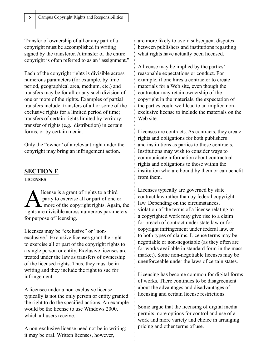Transfer of ownership of all or any part of a copyright must be accomplished in writing signed by the transferor. A transfer of the entire copyright is often referred to as an "assignment."

Each of the copyright rights is divisible across numerous parameters (for example, by time period, geographical area, medium, etc.) and transfers may be for all or any such division of one or more of the rights. Examples of partial transfers include: transfers of all or some of the exclusive rights for a limited period of time; transfers of certain rights limited by territory; transfer of rights (e.g., distribution) in certain forms, or by certain media.

Only the "owner" of a relevant right under the copyright may bring an infringement action.

## **SECTION E**

**LICENSES**

license is a grant of rights to a third<br>party to exercise all or part of one contract to the copyright rights. Again party to exercise all or part of one or more of the copyright rights. Again, the rights are divisible across numerous parameters for purpose of licensing.

Licenses may be "exclusive" or "nonexclusive." Exclusive licenses grant the right to exercise all or part of the copyright rights to a single person or entity. Exclusive licenses are treated under the law as transfers of ownership of the licensed rights. Thus, they must be in writing and they include the right to sue for infringement.

A licensee under a non-exclusive license typically is not the only person or entity granted the right to do the specified actions. An example would be the license to use Windows 2000, which all users receive.

A non-exclusive license need not be in writing; it may be oral. Written licenses, however,

are more likely to avoid subsequent disputes between publishers and institutions regarding what rights have actually been licensed.

A license may be implied by the parties' reasonable expectations or conduct. For example, if one hires a contractor to create materials for a Web site, even though the contractor may retain ownership of the copyright in the materials, the expectation of the parties could well lead to an implied nonexclusive license to include the materials on the Web site.

Licenses are contracts. As contracts, they create rights and obligations for both publishers and institutions as parties to those contracts. Institutions may wish to consider ways to communicate information about contractual rights and obligations to those within the institution who are bound by them or can benefit from them.

Licenses typically are governed by state contract law rather than by federal copyright law. Depending on the circumstances, violation of the terms of a license relating to a copyrighted work may give rise to a claim for breach of contract under state law or for copyright infringement under federal law, or to both types of claims. License terms may be negotiable or non-negotiable (as they often are for works available in standard form in the mass market). Some non-negotiable licenses may be unenforceable under the laws of certain states.

Licensing has become common for digital forms of works. There continues to be disagreement about the advantages and disadvantages of licensing and certain license restrictions.

Some argue that the licensing of digital media permits more options for control and use of a work and more variety and choice in arranging pricing and other terms of use.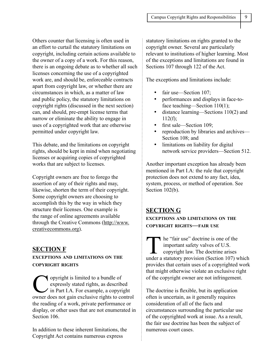Others counter that licensing is often used in an effort to curtail the statutory limitations on copyright, including certain actions available to the owner of a copy of a work. For this reason, there is an ongoing debate as to whether all such licenses concerning the use of a copyrighted work are, and should be, enforceable contracts apart from copyright law, or whether there are circumstances in which, as a matter of law and public policy, the statutory limitations on copyright rights (discussed in the next section) can, and should, pre-empt license terms that narrow or eliminate the ability to engage in uses of a copyrighted work that are otherwise permitted under copyright law.

This debate, and the limitations on copyright rights, should be kept in mind when negotiating licenses or acquiring copies of copyrighted works that are subject to licenses.

Copyright owners are free to forego the assertion of any of their rights and may, likewise, shorten the term of their copyright. Some copyright owners are choosing to accomplish this by the way in which they structure their licenses. One example is the range of online agreements available through the Creative Commons (http://www. creativecommons.org).

## **SECTION F**

## **EXCEPTIONS AND LIMITATIONS ON THE COPYRIGHT RIGHTS**

Opyright is limited to a bundle of<br>expressly stated rights, as described in Part I.A. For example, a copyring expressly stated rights, as described in Part I.A. For example, a copyright owner does not gain exclusive rights to control the reading of a work, private performance or display, or other uses that are not enumerated in Section 106

In addition to these inherent limitations, the Copyright Act contains numerous express

statutory limitations on rights granted to the copyright owner. Several are particularly relevant to institutions of higher learning. Most of the exceptions and limitations are found in Sections 107 through 122 of the Act.

The exceptions and limitations include:

- fair use—Section 107;
- performances and displays in face-toface teaching—Section 110(1);
- distance learning—Sections 110(2) and  $112(f)$ ;
- first sale—Section 109;
- reproduction by libraries and archives— Section 108; and
- limitations on liability for digital network service providers—Section 512.

Another important exception has already been mentioned in Part I.A: the rule that copyright protection does not extend to any fact, idea, system, process, or method of operation. See Section 102(b).

## **SECTION G**

**EXCEPTIONS AND LIMITATIONS ON THE COPYRIGHT RIGHTS—FAIR USE**

The "fair use" doctrine is one of the important safety valves of U.S. copyright law. The doctrine arises under a statutory provision (Section 107) which provides that certain uses of a copyrighted work that might otherwise violate an exclusive right of the copyright owner are not infringement.

The doctrine is flexible, but its application often is uncertain, as it generally requires consideration of all of the facts and circumstances surrounding the particular use of the copyrighted work at issue. As a result, the fair use doctrine has been the subject of numerous court cases.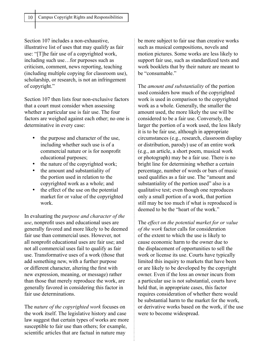Section 107 includes a non-exhaustive, illustrative list of uses that may qualify as fair use: "[T]he fair use of a copyrighted work, including such use…for purposes such as criticism, comment, news reporting, teaching (including multiple copying for classroom use), scholarship, or research, is not an infringement of copyright."

Section 107 then lists four non-exclusive factors that a court must consider when assessing whether a particular use is fair use. The four factors are weighed against each other; no one is determinative in every case:

- the purpose and character of the use, including whether such use is of a commercial nature or is for nonprofit educational purposes;
- the nature of the copyrighted work;
- the amount and substantiality of the portion used in relation to the copyrighted work as a whole; and
- the effect of the use on the potential market for or value of the copyrighted work.

In evaluating the *purpose and character of the use*, nonprofit uses and educational uses are generally favored and more likely to be deemed fair use than commercial uses. However, not all nonprofit educational uses are fair use; and not all commercial uses fail to qualify as fair use. Transformative uses of a work (those that add something new, with a further purpose or different character, altering the first with new expression, meaning, or message) rather than those that merely reproduce the work, are generally favored in considering this factor in fair use determinations.

The *nature of the copyrighted work* focuses on the work itself. The legislative history and case law suggest that certain types of works are more susceptible to fair use than others; for example, scientific articles that are factual in nature may

be more subject to fair use than creative works such as musical compositions, novels and motion pictures. Some works are less likely to support fair use, such as standardized tests and work booklets that by their nature are meant to be "consumable"

The *amount and substantiality* of the portion used considers how much of the copyrighted work is used in comparison to the copyrighted work as a whole. Generally, the smaller the amount used, the more likely the use will be considered to be a fair use. Conversely, the larger the portion of a work used, the less likely it is to be fair use, although in appropriate circumstances (e.g., research, classroom display or distribution, parody) use of an entire work (e.g., an article, a short poem, musical work or photograph) may be a fair use. There is no bright line for determining whether a certain percentage, number of words or bars of music used qualifies as a fair use. The "amount and substantiality of the portion used" also is a qualitative test; even though one reproduces only a small portion of a work, that portion still may be too much if what is reproduced is deemed to be the "heart of the work."

The *effect on the potential market for or value of the work* factor calls for consideration of the extent to which the use is likely to cause economic harm to the owner due to the displacement of opportunities to sell the work or license its use. Courts have typically limited this inquiry to markets that have been or are likely to be developed by the copyright owner. Even if the loss an owner incurs from a particular use is not substantial, courts have held that, in appropriate cases, this factor requires consideration of whether there would be substantial harm to the market for the work, or derivative works based on the work, if the use were to become widespread.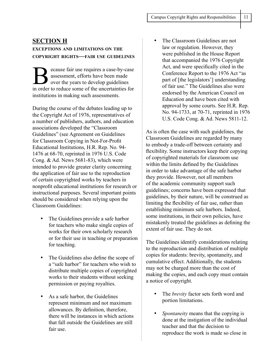## **SECTION H**

## **EXCEPTIONS AND LIMITATIONS ON THE COPYRIGHT RIGHTS—FAIR USE GUIDELINES**

ecause fair use requires a case-by-case assessment, efforts have been made over the years to develop guidelines in order to reduce some of the uncertainties for institutions in making such assessments.

During the course of the debates leading up to the Copyright Act of 1976, representatives of a number of publishers, authors, and education associations developed the "Classroom Guidelines" (see Agreement on Guidelines for Classroom Copying in Not-For-Profit Educational Institutions, H.R. Rep. No. 94- 1476 at 68-70, reprinted in 1976 U.S. Code Cong. & Ad. News 5681-83), which were intended to provide greater clarity concerning the application of fair use to the reproduction of certain copyrighted works by teachers in nonprofit educational institutions for research or instructional purposes. Several important points should be considered when relying upon the Classroom Guidelines:

- The Guidelines provide a safe harbor for teachers who make single copies of works for their own scholarly research or for their use in teaching or preparation for teaching.
- The Guidelines also define the scope of a "safe harbor" for teachers who wish to distribute multiple copies of copyrighted works to their students without seeking permission or paying royalties.
- As a safe harbor, the Guidelines represent minimum and not maximum allowances. By definition, therefore, there will be instances in which actions that fall outside the Guidelines are still fair use.

İ

• The Classroom Guidelines are not law or regulation. However, they were published in the House Report that accompanied the 1976 Copyright Act, and were specifically cited in the Conference Report to the 1976 Act "as part of [the legislators'] understanding of fair use." The Guidelines also were endorsed by the American Council on Education and have been cited with approval by some courts. See H.R. Rep. No. 94-1733, at 70-71, reprinted in 1976 U.S. Code Cong. & Ad. News 5811-12.

As is often the case with such guidelines, the Classroom Guidelines are regarded by many to embody a trade-off between certainty and flexibility. Some instructors keep their copying of copyrighted materials for classroom use within the limits defined by the Guidelines in order to take advantage of the safe harbor they provide. However, not all members of the academic community support such guidelines; concerns have been expressed that guidelines, by their nature, will be construed as limiting the flexibility of fair use, rather than establishing minimum safe harbors. Indeed, some institutions, in their own policies, have mistakenly treated the guidelines as defining the extent of fair use. They do not.

The Guidelines identify considerations relating to the reproduction and distribution of multiple copies for students: brevity, spontaneity, and cumulative effect. Additionally, the students may not be charged more than the cost of making the copies, and each copy must contain a notice of copyright.

- The *brevity* factor sets forth word and portion limitations.
- *Spontaneity* means that the copying is done at the instigation of the individual teacher and that the decision to reproduce the work is made so close in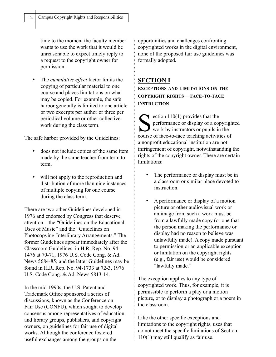time to the moment the faculty member wants to use the work that it would be unreasonable to expect timely reply to a request to the copyright owner for permission.

• The *cumulative effect* factor limits the copying of particular material to one course and places limitations on what may be copied. For example, the safe harbor generally is limited to one article or two excerpts per author or three per periodical volume or other collective work during the class term.

The safe harbor provided by the Guidelines:

- does not include copies of the same item made by the same teacher from term to term,
- will not apply to the reproduction and distribution of more than nine instances of multiple copying for one course during the class term.

There are two other Guidelines developed in 1976 and endorsed by Congress that deserve attention—the "Guidelines on the Educational Uses of Music" and the "Guidelines on Photocopying-Interlibrary Arrangements." The former Guidelines appear immediately after the Classroom Guidelines, in H.R. Rep. No. 94- 1476 at 70-71, 1976 U.S. Code Cong. & Ad. News 5684-85; and the latter Guidelines may be found in H.R. Rep. No. 94-1733 at 72-3, 1976 U.S. Code Cong. & Ad. News 5813-14.

In the mid-1990s, the U.S. Patent and Trademark Office sponsored a series of discussions, known as the Conference on Fair Use (CONFU), which sought to develop consensus among representatives of education and library groups, publishers, and copyright owners, on guidelines for fair use of digital works. Although the conference fostered useful exchanges among the groups on the

opportunities and challenges confronting copyrighted works in the digital environment, none of the proposed fair use guidelines was formally adopted.

## **SECTION I**

**EXCEPTIONS AND LIMITATIONS ON THE COPYRIGHT RIGHTS—FACE-TO-FACE INSTRUCTION**

section  $110(1)$  provides that the<br>performance or display of a converse of food to food to seeking activity performance or display of a copyrighted work by instructors or pupils in the course of face-to-face teaching activities of a nonprofit educational institution are not infringement of copyright, notwithstanding the rights of the copyright owner. There are certain limitations:

- The performance or display must be in a classroom or similar place devoted to **instruction**
- A performance or display of a motion picture or other audiovisual work or an image from such a work must be from a lawfully made copy (or one that the person making the performance or display had no reason to believe was unlawfully made). A copy made pursuant to permission or an applicable exception or limitation on the copyright rights (e.g., fair use) would be considered "lawfully made."

The exception applies to any type of copyrighted work. Thus, for example, it is permissible to perform a play or a motion picture, or to display a photograph or a poem in the classroom.

Like the other specific exceptions and limitations to the copyright rights, uses that do not meet the specific limitations of Section 110(1) may still qualify as fair use.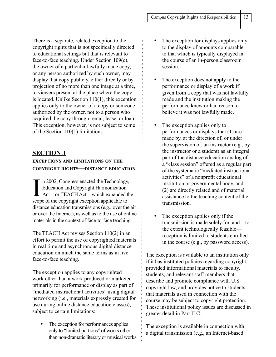There is a separate, related exception to the copyright rights that is not specifically directed to educational settings but that is relevant to face-to-face teaching. Under Section 109(c), the owner of a particular lawfully made copy, or any person authorized by such owner, may display that copy publicly, either directly or by projection of no more than one image at a time, to viewers present at the place where the copy is located. Unlike Section 110(1), this exception applies only to the owner of a copy or someone authorized by the owner, not to a person who acquired the copy through rental, lease, or loan. This exception, however, is not subject to some of the Section 110(1) limitations.

## **SECTION J**

## **EXCEPTIONS AND LIMITATIONS ON THE COPYRIGHT RIGHTS—DISTANCE EDUCATION**

In 2002, Congress enacted the Technology.<br>Education and Copyright Harmonization<br>Act—or TEACH Act—which expanded to<br>scope of the copyright exception applicable to n 2002, Congress enacted the Technology, Education and Copyright Harmonization Act—or TEACH Act—which expanded the distance education transmissions (e.g., over the air or over the Internet), as well as to the use of online materials in the context of face-to-face teaching.

The TEACH Act revises Section 110(2) in an effort to permit the use of copyrighted materials in real time and asynchronous digital distance education on much the same terms as in live face-to-face teaching.

The exception applies to any copyrighted work other than a work produced or marketed primarily for performance or display as part of "mediated instructional activities" using digital networking (i.e., materials expressly created for use during online distance education classes), subject to certain limitations:

The exception for performances applies only to "limited portions" of works other than non-dramatic literary or musical works.

- The exception for displays applies only to the display of amounts comparable to that which is typically displayed in the course of an in-person classroom session.
- The exception does not apply to the performance or display of a work if given from a copy that was not lawfully made and the institution making the performance knew or had reason to believe it was not lawfully made.
- The exception applies only to performances or displays that (1) are made by, at the direction of, or under the supervision of, an instructor (e.g., by the instructor or a student) as an integral part of the distance education analog of a "class session" offered as a regular part of the systematic "mediated instructional activities" of a nonprofit educational institution or governmental body, and (2) are directly related and of material assistance to the teaching content of the transmission.
- The exception applies only if the transmission is made solely for, and—to the extent technologically feasible reception is limited to students enrolled in the course (e.g., by password access).

The exception is available to an institution only if it has instituted policies regarding copyright, provided informational materials to faculty, students, and relevant staff members that describe and promote compliance with U.S. copyright law, and provides notice to students that materials used in connection with the course may be subject to copyright protection. These institutional policy issues are discussed in greater detail in Part II.C.

The exception is available in connection with a digital transmission (e.g., an Internet-based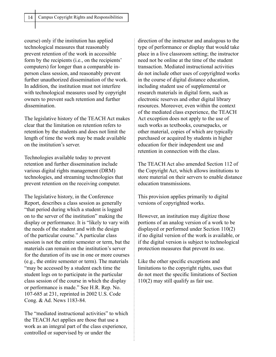course) only if the institution has applied technological measures that reasonably prevent retention of the work in accessible form by the recipients (i.e., on the recipients' computers) for longer than a comparable inperson class session, and reasonably prevent further unauthorized dissemination of the work. In addition, the institution must not interfere with technological measures used by copyright owners to prevent such retention and further dissemination.

The legislative history of the TEACH Act makes clear that the limitation on retention refers to retention by the students and does not limit the length of time the work may be made available on the institution's server.

Technologies available today to prevent retention and further dissemination include various digital rights management (DRM) technologies, and streaming technologies that prevent retention on the receiving computer.

The legislative history, in the Conference Report, describes a class session as generally "that period during which a student is logged on to the server of the institution" making the display or performance. It is "likely to vary with the needs of the student and with the design of the particular course." A particular class session is not the entire semester or term, but the materials can remain on the institution's server for the duration of its use in one or more courses (e.g., the entire semester or term). The materials "may be accessed by a student each time the student logs on to participate in the particular class session of the course in which the display or performance is made." See H.R. Rep. No. 107-685 at 231, reprinted in 2002 U.S. Code Cong. & Ad. News 1183-84.

The "mediated instructional activities" to which the TEACH Act applies are those that use a work as an integral part of the class experience, controlled or supervised by or under the

 $\vdots$ 

direction of the instructor and analogous to the type of performance or display that would take place in a live classroom setting; the instructor need not be online at the time of the student transaction. Mediated instructional activities do not include other uses of copyrighted works in the course of digital distance education, including student use of supplemental or research materials in digital form, such as electronic reserves and other digital library resources. Moreover, even within the context of the mediated class experience, the TEACH Act exception does not apply to the use of such works as textbooks, coursepacks, or other material, copies of which are typically purchased or acquired by students in higher education for their independent use and retention in connection with the class.

The TEACH Act also amended Section 112 of the Copyright Act, which allows institutions to store material on their servers to enable distance education transmissions.

This provision applies primarily to digital versions of copyrighted works.

However, an institution may digitize those portions of an analog version of a work to be displayed or performed under Section 110(2) if no digital version of the work is available, or if the digital version is subject to technological protection measures that prevent its use.

Like the other specific exceptions and limitations to the copyright rights, uses that do not meet the specific limitations of Section 110(2) may still qualify as fair use.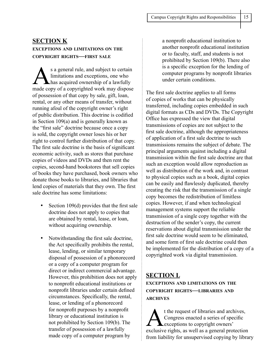## **SECTION K EXCEPTIONS AND LIMITATIONS ON THE COPYRIGHT RIGHTS—FIRST SALE**

s a general rule, and subject to certain<br>limitations and exceptions, one who<br>has acquired ownership of a lawfully<br>mode convects convicianted work may dispose limitations and exceptions, one who has acquired ownership of a lawfully made copy of a copyrighted work may dispose of possession of that copy by sale, gift, loan, rental, or any other means of transfer, without running afoul of the copyright owner's right of public distribution. This doctrine is codified in Section 109(a) and is generally known as the "first sale" doctrine because once a copy is sold, the copyright owner loses his or her right to control further distribution of that copy. The first sale doctrine is the basis of significant economic activity, such as stores that purchase copies of videos and DVDs and then rent the copies, second-hand bookstores that sell copies of books they have purchased, book owners who donate those books to libraries, and libraries that lend copies of materials that they own. The first sale doctrine has some limitations:

- Section 109(d) provides that the first sale doctrine does not apply to copies that are obtained by rental, lease, or loan, without acquiring ownership.
- Notwithstanding the first sale doctrine, the Act specifically prohibits the rental, lease, lending, or similar temporary disposal of possession of a phonorecord or a copy of a computer program for direct or indirect commercial advantage. However, this prohibition does not apply to nonprofit educational institutions or nonprofit libraries under certain defined circumstances. Specifically, the rental, lease, or lending of a phonorecord for nonprofit purposes by a nonprofit library or educational institution is not prohibited by Section 109(b). The transfer of possession of a lawfully made copy of a computer program by

a nonprofit educational institution to another nonprofit educational institution or to faculty, staff, and students is not prohibited by Section 109(b). There also is a specific exception for the lending of computer programs by nonprofit libraries under certain conditions.

The first sale doctrine applies to all forms of copies of works that can be physically transferred, including copies embedded in such digital formats as CDs and DVDs. The Copyright Office has expressed the view that digital transmissions of copies are not subject to the first sale doctrine, although the appropriateness of application of a first sale doctrine to such transmissions remains the subject of debate. The principal arguments against including a digital transmission within the first sale doctrine are that such an exception would allow reproduction as well as distribution of the work and, in contrast to physical copies such as a book, digital copies can be easily and flawlessly duplicated, thereby creating the risk that the transmission of a single copy becomes the redistribution of limitless copies. However, if and when technological management systems support the reliable transmission of a single copy together with the destruction of the sender's copy, the current reservations about digital transmission under the first sale doctrine would seem to be eliminated, and some form of first sale doctrine could then be implemented for the distribution of a copy of a copyrighted work via digital transmission.

## **SECTION L EXCEPTIONS AND LIMITATIONS ON THE**

**COPYRIGHT RIGHTS—LIBRARIES AND ARCHIVES**

t the request of libraries and archives,<br>Congress enacted a series of specific<br>exceptions to copyright owners' Congress enacted a series of specific exceptions to copyright owners' exclusive rights, as well as a general protection from liability for unsupervised copying by library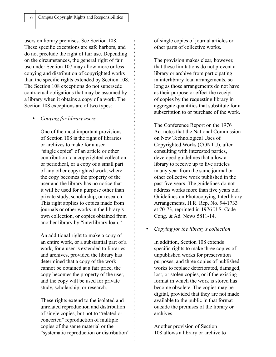users on library premises. See Section 108. These specific exceptions are safe harbors, and do not preclude the right of fair use. Depending on the circumstances, the general right of fair use under Section 107 may allow more or less copying and distribution of copyrighted works than the specific rights extended by Section 108. The Section 108 exceptions do not supersede contractual obligations that may be assumed by a library when it obtains a copy of a work. The Section 108 exceptions are of two types:

#### • *Copying for library users*

One of the most important provisions of Section 108 is the right of libraries or archives to make for a user "single copies" of an article or other contribution to a copyrighted collection or periodical, or a copy of a small part of any other copyrighted work, where the copy becomes the property of the user and the library has no notice that it will be used for a purpose other than private study, scholarship, or research. This right applies to copies made from journals or other works in the library's own collection, or copies obtained from another library by "interlibrary loan."

An additional right to make a copy of an entire work, or a substantial part of a work, for a user is extended to libraries and archives, provided the library has determined that a copy of the work cannot be obtained at a fair price, the copy becomes the property of the user, and the copy will be used for private study, scholarship, or research.

These rights extend to the isolated and unrelated reproduction and distribution of single copies, but not to "related or concerted" reproduction of multiple copies of the same material or the "systematic reproduction or distribution" of single copies of journal articles or other parts of collective works.

The provision makes clear, however, that these limitations do not prevent a library or archive from participating in interlibrary loan arrangements, so long as those arrangements do not have as their purpose or effect the receipt of copies by the requesting library in aggregate quantities that substitute for a subscription to or purchase of the work.

The Conference Report on the 1976 Act notes that the National Commission on New Technological Uses of Copyrighted Works (CONTU), after consulting with interested parties, developed guidelines that allow a library to receive up to five articles in any year from the same journal or other collective work published in the past five years. The guidelines do not address works more than five years old. Guidelines on Photocopying-Interlibrary Arrangements, H.R. Rep. No. 94-1733 at 70-73, reprinted in 1976 U.S. Code Cong. & Ad. News 5811-14.

#### • *Copying for the library's collection*

In addition, Section 108 extends specific rights to make three copies of unpublished works for preservation purposes, and three copies of published works to replace deteriorated, damaged, lost, or stolen copies, or if the existing format in which the work is stored has become obsolete. The copies may be digital, provided that they are not made available to the public in that format outside the premises of the library or archives.

Another provision of Section 108 allows a library or archive to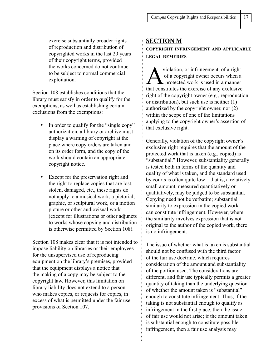exercise substantially broader rights of reproduction and distribution of copyrighted works in the last 20 years of their copyright terms, provided the works concerned do not continue to be subject to normal commercial exploitation.

Section 108 establishes conditions that the library must satisfy in order to qualify for the exemptions, as well as establishing certain exclusions from the exemptions:

- In order to qualify for the "single copy" authorization, a library or archive must display a warning of copyright at the place where copy orders are taken and on its order form, and the copy of the work should contain an appropriate copyright notice.
- Except for the preservation right and the right to replace copies that are lost, stolen, damaged, etc., these rights do not apply to a musical work, a pictorial, graphic, or sculptural work, or a motion picture or other audiovisual work (except for illustrations or other adjuncts to works whose copying and distribution is otherwise permitted by Section 108).

Section 108 makes clear that it is not intended to impose liability on libraries or their employees for the unsupervised use of reproducing equipment on the library's premises, provided that the equipment displays a notice that the making of a copy may be subject to the copyright law. However, this limitation on library liability does not extend to a person who makes copies, or requests for copies, in excess of what is permitted under the fair use provisions of Section 107.

## **SECTION M COPYRIGHT INFRINGEMENT AND APPLICABLE LEGAL REMEDIES**

violation, or infringement, of a right<br>of a copyright owner occurs when a<br>protected work is used in a manner of a copyright owner occurs when a protected work is used in a manner that constitutes the exercise of any exclusive right of the copyright owner (e.g., reproduction or distribution), but such use is neither (1) authorized by the copyright owner, nor (2) within the scope of one of the limitations applying to the copyright owner's assertion of that exclusive right.

Generally, violation of the copyright owner's exclusive right requires that the amount of the protected work that is taken (e.g., copied) is "substantial." However, substantiality generally is tested both in terms of the quantity and quality of what is taken, and the standard used by courts is often quite low—that is, a relatively small amount, measured quantitatively or qualitatively, may be judged to be substantial. Copying need not be verbatim; substantial similarity to expression in the copied work can constitute infringement. However, where the similarity involves expression that is not original to the author of the copied work, there is no infringement.

The issue of whether what is taken is substantial should not be confused with the third factor of the fair use doctrine, which requires consideration of the amount and substantiality of the portion used. The considerations are different, and fair use typically permits a greater quantity of taking than the underlying question of whether the amount taken is "substantial" enough to constitute infringement. Thus, if the taking is not substantial enough to qualify as infringement in the first place, then the issue of fair use would not arise; if the amount taken is substantial enough to constitute possible infringement, then a fair use analysis may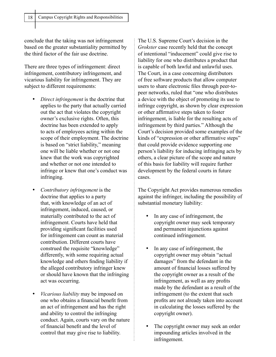conclude that the taking was not infringement based on the greater substantiality permitted by the third factor of the fair use doctrine.

There are three types of infringement: direct infringement, contributory infringement, and vicarious liability for infringement. They are subject to different requirements:

- *Direct infringement* is the doctrine that applies to the party that actually carried out the act that violates the copyright owner's exclusive rights. Often, this doctrine has been extended to apply to acts of employees acting within the scope of their employment. The doctrine is based on "strict liability," meaning one will be liable whether or not one knew that the work was copyrighted and whether or not one intended to infringe or knew that one's conduct was infringing.
- *Contributory infringement* is the doctrine that applies to a party that, with knowledge of an act of infringement, induced, caused, or materially contributed to the act of infringement. Courts have held that providing significant facilities used for infringement can count as material contribution. Different courts have construed the requisite "knowledge" differently, with some requiring actual knowledge and others finding liability if the alleged contributory infringer knew or should have known that the infringing act was occurring.
- *Vicarious liability* may be imposed on one who obtains a financial benefit from an act of infringement and has the right and ability to control the infringing conduct. Again, courts vary on the nature of financial benefit and the level of control that may give rise to liability.

 $\vdots$ 

The U.S. Supreme Court's decision in the *Grokster* case recently held that the concept of intentional "inducement" could give rise to liability for one who distributes a product that is capable of both lawful and unlawful uses. The Court, in a case concerning distributors of free software products that allow computer users to share electronic files through peer-topeer networks, ruled that "one who distributes a device with the object of promoting its use to infringe copyright, as shown by clear expression or other affirmative steps taken to foster infringement, is liable for the resulting acts of infringement by third parties." Although the Court's decision provided some examples of the kinds of "expression or other affirmative steps" that could provide evidence supporting one person's liability for inducing infringing acts by others, a clear picture of the scope and nature of this basis for liability will require further development by the federal courts in future cases.

The Copyright Act provides numerous remedies against the infringer, including the possibility of substantial monetary liability:

- In any case of infringement, the copyright owner may seek temporary and permanent injunctions against continued infringement.
- In any case of infringement, the copyright owner may obtain "actual damages" from the defendant in the amount of financial losses suffered by the copyright owner as a result of the infringement, as well as any profits made by the defendant as a result of the infringement (to the extent that such profits are not already taken into account in calculating the losses suffered by the copyright owner).
- The copyright owner may seek an order impounding articles involved in the infringement.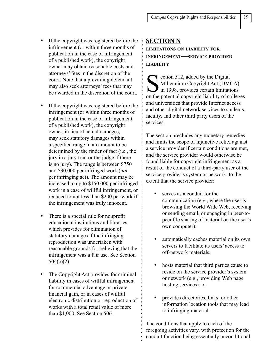- If the copyright was registered before the infringement (or within three months of publication in the case of infringement of a published work), the copyright owner may obtain reasonable costs and attorneys' fees in the discretion of the court. Note that a prevailing defendant may also seek attorneys' fees that may be awarded in the discretion of the court.
- If the copyright was registered before the infringement (or within three months of publication in the case of infringement of a published work), the copyright owner, in lieu of actual damages, may seek statutory damages within a specified range in an amount to be determined by the finder of fact (i.e., the jury in a jury trial or the judge if there is no jury). The range is between \$750 and \$30,000 per infringed work (*not* per infringing act). The amount may be increased to up to \$150,000 per infringed work in a case of willful infringement, or reduced to not less than \$200 per work if the infringement was truly innocent.
- There is a special rule for nonprofit educational institutions and libraries which provides for elimination of statutory damages if the infringing reproduction was undertaken with reasonable grounds for believing that the infringement was a fair use. See Section  $504(c)(2)$ .
- The Copyright Act provides for criminal liability in cases of willful infringement for commercial advantage or private financial gain, or in cases of willful electronic distribution or reproduction of works with a total retail value of more than \$1,000. See Section 506.

## **SECTION N LIMITATIONS ON LIABILITY FOR INFRINGEMENT—SERVICE PROVIDER LIABILITY**

Section 512, added by the Digital<br>Millennium Copyright Act (DM<br>in 1998, provides certain limitation<br>the notatial convright liability of a Millennium Copyright Act (DMCA) in 1998, provides certain limitations on the potential copyright liability of colleges and universities that provide Internet access and other digital network services to students, faculty, and other third party users of the services.

The section precludes any monetary remedies and limits the scope of injunctive relief against a service provider if certain conditions are met, and the service provider would otherwise be found liable for copyright infringement as a result of the conduct of a third-party user of the service provider's system or network, to the extent that the service provider:

- serves as a conduit for the communication (e.g., where the user is browsing the World Wide Web, receiving or sending email, or engaging in peer-topeer file sharing of material on the user's own computer);
- automatically caches material on its own servers to facilitate its users' access to off-network materials;
- hosts material that third parties cause to reside on the service provider's system or network (e.g., providing Web page hosting services); or
- provides directories, links, or other information location tools that may lead to infringing material.

The conditions that apply to each of the foregoing activities vary, with protection for the conduit function being essentially unconditional,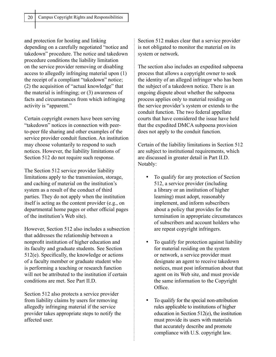and protection for hosting and linking depending on a carefully negotiated "notice and takedown" procedure. The notice and takedown procedure conditions the liability limitation on the service provider removing or disabling access to allegedly infringing material upon (1) the receipt of a compliant "takedown" notice; (2) the acquisition of "actual knowledge" that the material is infringing; or (3) awareness of facts and circumstances from which infringing activity is "apparent."

Certain copyright owners have been serving "takedown" notices in connection with peerto-peer file sharing and other examples of the service provider conduit function. An institution may choose voluntarily to respond to such notices. However, the liability limitations of Section 512 do not require such response.

The Section 512 service provider liability limitations apply to the transmission, storage, and caching of material on the institution's system as a result of the conduct of third parties. They do not apply when the institution itself is acting as the content provider (e.g., on departmental home pages or other official pages of the institution's Web site).

However, Section 512 also includes a subsection that addresses the relationship between a nonprofit institution of higher education and its faculty and graduate students. See Section 512(e). Specifically, the knowledge or actions of a faculty member or graduate student who is performing a teaching or research function will not be attributed to the institution if certain conditions are met. See Part II.D.

Section 512 also protects a service provider from liability claims by users for removing allegedly infringing material if the service provider takes appropriate steps to notify the affected user.

Section 512 makes clear that a service provider is not obligated to monitor the material on its system or network.

The section also includes an expedited subpoena process that allows a copyright owner to seek the identity of an alleged infringer who has been the subject of a takedown notice. There is an ongoing dispute about whether the subpoena process applies only to material residing on the service provider's system or extends to the conduit function. The two federal appellate courts that have considered the issue have held that the expedited DMCA subpoena provision does not apply to the conduit function.

Certain of the liability limitations in Section 512 are subject to institutional requirements, which are discussed in greater detail in Part II.D. Notably:

- To qualify for any protection of Section 512, a service provider (including a library or an institution of higher learning) must adopt, reasonably implement, and inform subscribers about a policy that provides for the termination in appropriate circumstances of subscribers and account holders who are repeat copyright infringers.
- To qualify for protection against liability for material residing on the system or network, a service provider must designate an agent to receive takedown notices, must post information about that agent on its Web site, and must provide the same information to the Copyright Office.
- To qualify for the special non-attribution rules applicable to institutions of higher education in Section 512(e), the institution must provide its users with materials that accurately describe and promote compliance with U.S. copyright law.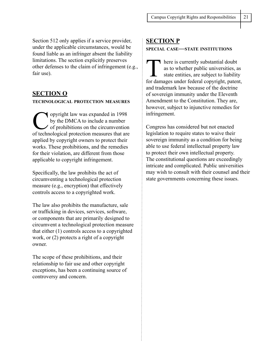Section 512 only applies if a service provider, under the applicable circumstances, would be found liable as an infringer absent the liability limitations. The section explicitly preserves other defenses to the claim of infringement (e.g., fair use).

## **SECTION O**

#### **TECHNOLOGICAL PROTECTION MEASURES**

opyright law was expanded in 1998 by the DMCA to include a number of prohibitions on the circumvention of technological protection measures that are applied by copyright owners to protect their works. These prohibitions, and the remedies for their violation, are different from those applicable to copyright infringement.

Specifically, the law prohibits the act of circumventing a technological protection measure (e.g., encryption) that effectively controls access to a copyrighted work.

The law also prohibits the manufacture, sale or trafficking in devices, services, software, or components that are primarily designed to circumvent a technological protection measure that either (1) controls access to a copyrighted work, or (2) protects a right of a copyright owner.

The scope of these prohibitions, and their relationship to fair use and other copyright exceptions, has been a continuing source of controversy and concern.

#### **SECTION P**

#### **SPECIAL CASE—STATE INSTITUTIONS**

here is currently substantial doubt as to whether public universities, as state entities, are subject to liability for damages under federal copyright, patent, and trademark law because of the doctrine of sovereign immunity under the Eleventh Amendment to the Constitution. They are, however, subject to injunctive remedies for infringement.

Congress has considered but not enacted legislation to require states to waive their sovereign immunity as a condition for being able to use federal intellectual property law to protect their own intellectual property. The constitutional questions are exceedingly intricate and complicated. Public universities may wish to consult with their counsel and their state governments concerning these issues.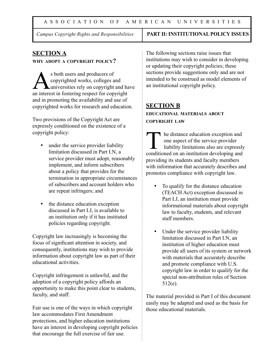## *Campus Copyright Rights and Responsibilities* **PART II: INSTITUTIONAL POLICY ISSUES**

## **SECTION A**

#### **WHY ADOPT <sup>A</sup> COPYRIGHT POLICY?**

s both users and producers of<br>copyrighted works, colleges a<br>an interest in fostering respect for earn copyrighted works, colleges and **L**universities rely on copyright and have an interest in fostering respect for copyright and in promoting the availability and use of copyrighted works for research and education.

Two provisions of the Copyright Act are expressly conditioned on the existence of a copyright policy:

- under the service provider liability limitation discussed in Part I.N, a service provider must adopt, reasonably implement, and inform subscribers about a policy that provides for the termination in appropriate circumstances of subscribers and account holders who are repeat infringers; and
- the distance education exception discussed in Part I.J, is available to an institution only if it has instituted policies regarding copyright.

Copyright law increasingly is becoming the focus of significant attention in society, and consequently, institutions may wish to provide information about copyright law as part of their educational activities.

Copyright infringement is unlawful, and the adoption of a copyright policy affords an opportunity to make this point clear to students, faculty, and staff.

Fair use is one of the ways in which copyright law accommodates First Amendment protections, and higher education institutions have an interest in developing copyright policies that encourage the full exercise of fair use.

The following sections raise issues that institutions may wish to consider in developing or updating their copyright policies; these sections provide suggestions only and are not intended to be construed as model elements of an institutional copyright policy.

## **SECTION B**

**EDUCATIONAL MATERIALS ABOUT COPYRIGHT LAW**

The distance education exception and<br>one aspect of the service provider<br>liability limitations also are expressly<br>conditioned on an institution developing and one aspect of the service provider liability limitations also are expressly conditioned on an institution developing and providing its students and faculty members with information that accurately describes and promotes compliance with copyright law.

- To qualify for the distance education (TEACH Act) exception discussed in Part I.J, an institution must provide informational materials about copyright law to faculty, students, and relevant staff members.
- Under the service provider liability limitation discussed in Part I.N, an institution of higher education must provide all users of its system or network with materials that accurately describe and promote compliance with U.S. copyright law in order to qualify for the special non-attribution rules of Section 512(e).

The material provided in Part I of this document easily may be adapted and used as the basis for those educational materials.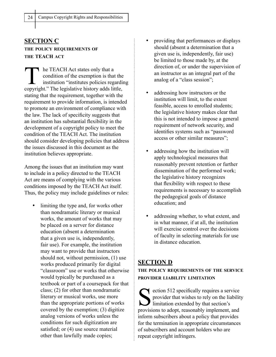## **SECTION C THE POLICY REQUIREMENTS OF THE TEACH ACT**

**T** he TEACH Act states only that a condition of the exemption is that the institution "institutes policies regarding copyright." The legislative history adds little, stating that the requirement, together with the requirement to provide information, is intended to promote an environment of compliance with the law. The lack of specificity suggests that an institution has substantial flexibility in the development of a copyright policy to meet the condition of the TEACH Act. The institution should consider developing policies that address the issues discussed in this document as the institution believes appropriate.

Among the issues that an institution may want to include in a policy directed to the TEACH Act are means of complying with the various conditions imposed by the TEACH Act itself. Thus, the policy may include guidelines or rules:

limiting the type and, for works other than nondramatic literary or musical works, the amount of works that may be placed on a server for distance education (absent a determination that a given use is, independently, fair use). For example, the institution may want to provide that instructors should not, without permission, (1) use works produced primarily for digital "classroom" use or works that otherwise would typically be purchased as a textbook or part of a coursepack for that class; (2) for other than nondramatic literary or musical works, use more than the appropriate portions of works covered by the exemption; (3) digitize analog versions of works unless the conditions for such digitization are satisfied; or  $(4)$  use source material other than lawfully made copies;

- providing that performances or displays should (absent a determination that a given use is, independently, fair use) be limited to those made by, at the direction of, or under the supervision of an instructor as an integral part of the analog of a "class session";
- addressing how instructors or the institution will limit, to the extent feasible, access to enrolled students; the legislative history makes clear that this is not intended to impose a general requirement of network security, and identifies systems such as "password access or other similar measures";
- addressing how the institution will apply technological measures that reasonably prevent retention or further dissemination of the performed work; the legislative history recognizes that flexibility with respect to these requirements is necessary to accomplish the pedagogical goals of distance education; and
- addressing whether, to what extent, and in what manner, if at all, the institution will exercise control over the decisions of faculty in selecting materials for use in distance education.

## **SECTION D**

**THE POLICY REQUIREMENTS OF THE SERVICE PROVIDER LIABILITY LIMITATION**

Section 512 specifically requires a service<br>provider that wishes to rely on the liability<br>limitation extended by that section's<br>provisions to adopt, reasonably implement, and provider that wishes to rely on the liability limitation extended by that section's provisions to adopt, reasonably implement, and inform subscribers about a policy that provides for the termination in appropriate circumstances of subscribers and account holders who are repeat copyright infringers.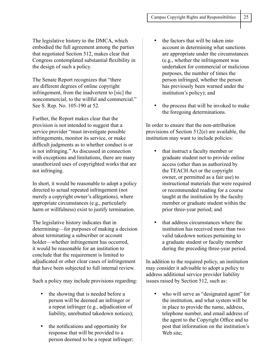The legislative history to the DMCA, which embodied the full agreement among the parties that negotiated Section 512, makes clear that Congress contemplated substantial flexibility in the design of such a policy.

The Senate Report recognizes that "there are different degrees of online copyright infringement, from the inadvertent to [sic] the noncommercial, to the willful and commercial." See S. Rep. No. 105-190 at 52.

Further, the Report makes clear that the provision is not intended to suggest that a service provider "must investigate possible infringements, monitor its service, or make difficult judgments as to whether conduct is or is not infringing." As discussed in connection with exceptions and limitations, there are many unauthorized uses of copyrighted works that are not infringing.

In short, it would be reasonable to adopt a policy directed to actual repeated infringement (not merely a copyright owner's allegations), where appropriate circumstances (e.g., particularly harm or willfulness) exist to justify termination.

The legislative history indicates that in determining—for purposes of making a decision about terminating a subscriber or account holder—whether infringement has occurred, it would be reasonable for an institution to conclude that the requirement is limited to adjudicated or other clear cases of infringement that have been subjected to full internal review.

Such a policy may include provisions regarding:

- the showing that is needed before a person will be deemed an infringer or a repeat infringer (e.g., adjudication of liability, unrebutted takedown notices);
- the notifications and opportunity for response that will be provided to a person deemed to be a repeat infringer;
- the factors that will be taken into account in determining what sanctions are appropriate under the circumstances (e.g., whether the infringement was undertaken for commercial or malicious purposes, the number of times the person infringed, whether the person has previously been warned under the institution's policy); and
- the process that will be invoked to make the foregoing determinations.

In order to ensure that the non-attribution provisions of Section 512(e) are available, the institution may want to include policies:

- that instruct a faculty member or graduate student not to provide online access (other than as authorized by the TEACH Act or the copyright owner, or permitted as a fair use) to instructional materials that were required or recommended reading for a course taught at the institution by the faculty member or graduate student within the prior three-year period; and
- that address circumstances where the institution has received more than two valid takedown notices pertaining to a graduate student or faculty member during the preceding three-year period.

In addition to the required policy, an institution may consider it advisable to adopt a policy to address additional service provider liability issues raised by Section 512, such as:

who will serve as "designated agent" for the institution, and what system will be in place to provide the name, address, telephone number, and email address of the agent to the Copyright Office and to post that information on the institution's Web site;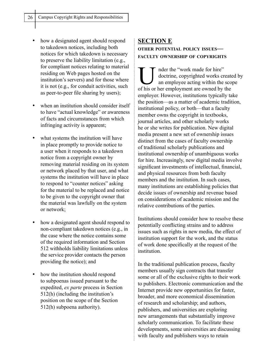- how a designated agent should respond to takedown notices, including both notices for which takedown is necessary to preserve the liability limitation (e.g., for compliant notices relating to material residing on Web pages hosted on the institution's servers) and for those where it is not (e.g., for conduit activities, such as peer-to-peer file sharing by users);
- when an institution should consider itself to have "actual knowledge" or awareness of facts and circumstances from which infringing activity is apparent;
- what systems the institution will have in place promptly to provide notice to a user when it responds to a takedown notice from a copyright owner by removing material residing on its system or network placed by that user, and what systems the institution will have in place to respond to "counter notices" asking for the material to be replaced and notice to be given to the copyright owner that the material was lawfully on the system or network;
- how a designated agent should respond to non-compliant takedown notices (e.g., in the case where the notice contains some of the required information and Section 512 withholds liability limitations unless the service provider contacts the person providing the notice); and
- how the institution should respond to subpoenas issued pursuant to the expedited, *ex parte* process in Section 512(h) (including the institution's position on the scope of the Section 512(h) subpoena authority).

## **SECTION E OTHER POTENTIAL POLICY ISSUES— FACULTY OWNERSHIP OF COPYRIGHTS**

I nder the "work made for hire"<br>doctrine, copyrighted works cr<br>an employee acting within the doctrine, copyrighted works created by an employee acting within the scope of his or her employment are owned by the employer. However, institutions typically take the position—as a matter of academic tradition, institutional policy, or both—that a faculty member owns the copyright in textbooks, journal articles, and other scholarly works he or she writes for publication. New digital media present a new set of ownership issues distinct from the cases of faculty ownership of traditional scholarly publications and institutional ownership of unambiguous works for hire. Increasingly, new digital media involve significant investments of intellectual, financial, and physical resources from both faculty members and the institution. In such cases, many institutions are establishing policies that decide issues of ownership and revenue based on considerations of academic mission and the relative contributions of the parties.

Institutions should consider how to resolve these potentially conflicting strains and to address issues such as rights in new media, the effect of institution support for the work, and the status of work done specifically at the request of the institution.

In the traditional publication process, faculty members usually sign contracts that transfer some or all of the exclusive rights to their work to publishers. Electronic communication and the Internet provide new opportunities for faster, broader, and more economical dissemination of research and scholarship; and authors, publishers, and universities are exploring new arrangements that substantially improve scholarly communication. To facilitate these developments, some universities are discussing with faculty and publishers ways to retain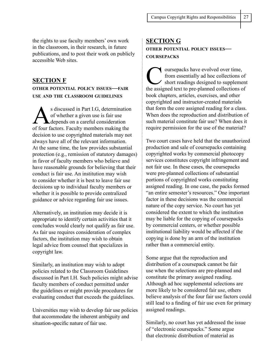the rights to use faculty members' own work in the classroom, in their research, in future publications, and to post their work on publicly accessible Web sites.

#### **SECTION F**

#### **OTHER POTENTIAL POLICY ISSUES—FAIR USE AND THE CLASSROOM GUIDELINES**

s discussed in Part I.G, determination of whether a given use is fair use depends on a careful consideration of four factors. Faculty members making the decision to use copyrighted materials may not always have all of the relevant information. At the same time, the law provides substantial protection (e.g., remission of statutory damages) in favor of faculty members who believe and have reasonable grounds for believing that their conduct is fair use. An institution may wish to consider whether it is best to leave fair use decisions up to individual faculty members or whether it is possible to provide centralized guidance or advice regarding fair use issues.

Alternatively, an institution may decide it is appropriate to identify certain activities that it concludes would clearly not qualify as fair use. As fair use requires consideration of complex factors, the institution may wish to obtain legal advice from counsel that specializes in copyright law.

Similarly, an institution may wish to adopt policies related to the Classroom Guidelines discussed in Part I.H. Such policies might advise faculty members of conduct permitted under the guidelines or might provide procedures for evaluating conduct that exceeds the guidelines.

Universities may wish to develop fair use policies that accommodate the inherent ambiguity and situation-specific nature of fair use.

## **SECTION G OTHER POTENTIAL POLICY ISSUES— COURSEPACKS**

The course packs have evolved over time,<br>
from essentially ad hoc collections of<br>
short readings designed to suppleme<br>
the assigned to the planned collections of from essentially ad hoc collections of short readings designed to supplement the assigned text to pre-planned collections of book chapters, articles, exercises, and other copyrighted and instructor-created materials that form the core assigned reading for a class. When does the reproduction and distribution of such material constitute fair use? When does it require permission for the use of the material?

Two court cases have held that the unauthorized production and sale of coursepacks containing copyrighted works by commercial photocopy services constitutes copyright infringement and not fair use. In these cases, the coursepacks were pre-planned collections of substantial portions of copyrighted works constituting assigned reading. In one case, the packs formed "an entire semester's resources." One important factor in these decisions was the commercial nature of the copy service. No court has yet considered the extent to which the institution may be liable for the copying of coursepacks by commercial centers, or whether possible institutional liability would be affected if the copying is done by an arm of the institution rather than a commercial entity.

Some argue that the reproduction and distribution of a coursepack cannot be fair use when the selections are pre-planned and constitute the primary assigned reading. Although ad hoc supplemental selections are more likely to be considered fair use, others believe analysis of the four fair use factors could still lead to a finding of fair use even for primary assigned readings.

Similarly, no court has yet addressed the issue of "electronic coursepacks." Some argue that electronic distribution of material as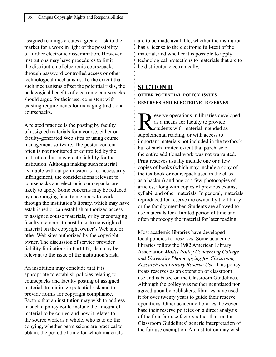assigned readings creates a greater risk to the market for a work in light of the possibility of further electronic dissemination. However, institutions may have procedures to limit the distribution of electronic coursepacks through password-controlled access or other technological mechanisms. To the extent that such mechanisms offset the potential risks, the pedagogical benefits of electronic coursepacks should argue for their use, consistent with existing requirements for managing traditional coursepacks.

A related practice is the posting by faculty of assigned materials for a course, either on faculty-generated Web sites or using course management software. The posted content often is not monitored or controlled by the institution, but may create liability for the institution. Although making such material available without permission is not necessarily infringement, the considerations relevant to coursepacks and electronic coursepacks are likely to apply. Some concerns may be reduced by encouraging faculty members to work through the institution's library, which may have established or can establish authorized access to assigned course materials, or by encouraging faculty members to post links to copyrighted material on the copyright owner's Web site or other Web sites authorized by the copyright owner. The discussion of service provider liability limitations in Part I.N, also may be relevant to the issue of the institution's risk.

An institution may conclude that it is appropriate to establish policies relating to coursepacks and faculty posting of assigned material, to minimize potential risk and to provide norms for copyright compliance. Factors that an institution may wish to address in such a policy could include the amount of material to be copied and how it relates to the source work as a whole, who is to do the copying, whether permissions are practical to obtain, the period of time for which materials

 $\vdots$ 

are to be made available, whether the institution has a license to the electronic full-text of the material, and whether it is possible to apply technological protections to materials that are to be distributed electronically.

# **SECTION H**

**OTHER POTENTIAL POLICY ISSUES— RESERVES AND ELECTRONIC RESERVES**

eserve operations in libraries developed as a means for faculty to provide students with material intended as supplemental reading, or with access to important materials not included in the textbook but of such limited extent that purchase of the entire additional work was not warranted. Print reserves usually include one or a few copies of books (which may include a copy of the textbook or coursepack used in the class as a backup) and one or a few photocopies of articles, along with copies of previous exams, syllabi, and other materials. In general, materials reproduced for reserve are owned by the library or the faculty member. Students are allowed to use materials for a limited period of time and often photocopy the material for later reading.

Most academic libraries have developed local policies for reserves. Some academic libraries follow the 1982 American Library Association *Model Policy Concerning College and University Photocopying for Classroom, Research and Library Reserve Use*. This policy treats reserves as an extension of classroom use and is based on the Classroom Guidelines. Although the policy was neither negotiated nor agreed upon by publishers, libraries have used it for over twenty years to guide their reserve operations. Other academic libraries, however, base their reserve policies on a direct analysis of the four fair use factors rather than on the Classroom Guidelines' generic interpretation of the fair use exemption. An institution may wish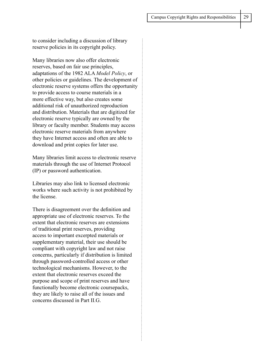to consider including a discussion of library reserve policies in its copyright policy.

Many libraries now also offer electronic reserves, based on fair use principles, adaptations of the 1982 ALA *Model Policy*, or other policies or guidelines. The development of electronic reserve systems offers the opportunity to provide access to course materials in a more effective way, but also creates some additional risk of unauthorized reproduction and distribution. Materials that are digitized for electronic reserve typically are owned by the library or faculty member. Students may access electronic reserve materials from anywhere they have Internet access and often are able to download and print copies for later use.

Many libraries limit access to electronic reserve materials through the use of Internet Protocol (IP) or password authentication.

Libraries may also link to licensed electronic works where such activity is not prohibited by the license.

There is disagreement over the definition and appropriate use of electronic reserves. To the extent that electronic reserves are extensions of traditional print reserves, providing access to important excerpted materials or supplementary material, their use should be compliant with copyright law and not raise concerns, particularly if distribution is limited through password-controlled access or other technological mechanisms. However, to the extent that electronic reserves exceed the purpose and scope of print reserves and have functionally become electronic coursepacks, they are likely to raise all of the issues and concerns discussed in Part II.G.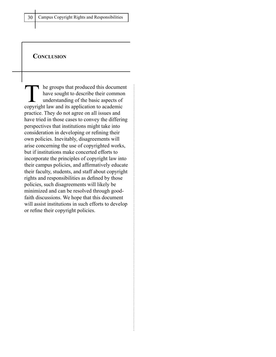## **CONCLUSION**

The groups that produced this document have sought to describe their common understanding of the basic aspects of copyright law and its application to academic practice. They do not agree on all issues and have tried in those cases to convey the differing perspectives that institutions might take into consideration in developing or refining their own policies. Inevitably, disagreements will arise concerning the use of copyrighted works, but if institutions make concerted efforts to incorporate the principles of copyright law into their campus policies, and affirmatively educate their faculty, students, and staff about copyright rights and responsibilities as defined by those policies, such disagreements will likely be minimized and can be resolved through goodfaith discussions. We hope that this document will assist institutions in such efforts to develop or refine their copyright policies.